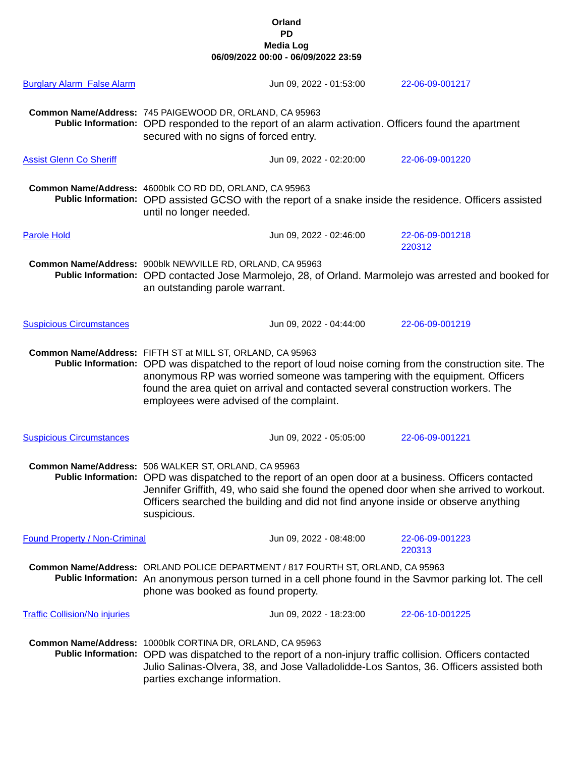## **Orland PD Media Log 06/09/2022 00:00 - 06/09/2022 23:59**

| <b>Burglary Alarm False Alarm</b>    | Jun 09, 2022 - 01:53:00                                                                                                                                                                                                                                                                                                                                                               | 22-06-09-001217           |  |
|--------------------------------------|---------------------------------------------------------------------------------------------------------------------------------------------------------------------------------------------------------------------------------------------------------------------------------------------------------------------------------------------------------------------------------------|---------------------------|--|
|                                      | Common Name/Address: 745 PAIGEWOOD DR, ORLAND, CA 95963<br>Public Information: OPD responded to the report of an alarm activation. Officers found the apartment<br>secured with no signs of forced entry.                                                                                                                                                                             |                           |  |
| <b>Assist Glenn Co Sheriff</b>       | Jun 09, 2022 - 02:20:00                                                                                                                                                                                                                                                                                                                                                               | 22-06-09-001220           |  |
|                                      | Common Name/Address: 4600blk CO RD DD, ORLAND, CA 95963<br>Public Information: OPD assisted GCSO with the report of a snake inside the residence. Officers assisted<br>until no longer needed.                                                                                                                                                                                        |                           |  |
| <b>Parole Hold</b>                   | Jun 09, 2022 - 02:46:00                                                                                                                                                                                                                                                                                                                                                               | 22-06-09-001218<br>220312 |  |
|                                      | Common Name/Address: 900blk NEWVILLE RD, ORLAND, CA 95963<br>Public Information: OPD contacted Jose Marmolejo, 28, of Orland. Marmolejo was arrested and booked for<br>an outstanding parole warrant.                                                                                                                                                                                 |                           |  |
| <b>Suspicious Circumstances</b>      | Jun 09, 2022 - 04:44:00                                                                                                                                                                                                                                                                                                                                                               | 22-06-09-001219           |  |
|                                      | Common Name/Address: FIFTH ST at MILL ST, ORLAND, CA 95963<br>Public Information: OPD was dispatched to the report of loud noise coming from the construction site. The<br>anonymous RP was worried someone was tampering with the equipment. Officers<br>found the area quiet on arrival and contacted several construction workers. The<br>employees were advised of the complaint. |                           |  |
| <b>Suspicious Circumstances</b>      | Jun 09, 2022 - 05:05:00                                                                                                                                                                                                                                                                                                                                                               | 22-06-09-001221           |  |
|                                      | Common Name/Address: 506 WALKER ST, ORLAND, CA 95963<br>Public Information: OPD was dispatched to the report of an open door at a business. Officers contacted<br>Jennifer Griffith, 49, who said she found the opened door when she arrived to workout.<br>Officers searched the building and did not find anyone inside or observe anything<br>suspicious.                          |                           |  |
| <b>Found Property / Non-Criminal</b> | Jun 09, 2022 - 08:48:00                                                                                                                                                                                                                                                                                                                                                               | 22-06-09-001223<br>220313 |  |
|                                      | Common Name/Address: ORLAND POLICE DEPARTMENT / 817 FOURTH ST, ORLAND, CA 95963<br>Public Information: An anonymous person turned in a cell phone found in the Savmor parking lot. The cell<br>phone was booked as found property.                                                                                                                                                    |                           |  |
| <b>Traffic Collision/No injuries</b> | Jun 09, 2022 - 18:23:00                                                                                                                                                                                                                                                                                                                                                               | 22-06-10-001225           |  |
|                                      | Common Name/Address: 1000blk CORTINA DR, ORLAND, CA 95963<br>Public Information: OPD was dispatched to the report of a non-injury traffic collision. Officers contacted<br>Julio Salinas-Olvera, 38, and Jose Valladolidde-Los Santos, 36. Officers assisted both<br>parties exchange information.                                                                                    |                           |  |